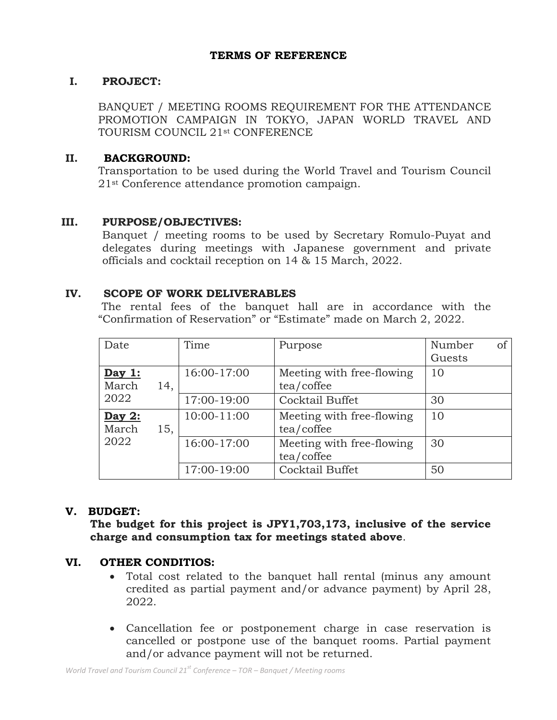#### **TERMS OF REFERENCE**

#### **I. PROJECT:**

BANQUET / MEETING ROOMS REQUIREMENT FOR THE ATTENDANCE PROMOTION CAMPAIGN IN TOKYO, JAPAN WORLD TRAVEL AND TOURISM COUNCIL 21st CONFERENCE

### **II. BACKGROUND:**

Transportation to be used during the World Travel and Tourism Council 21st Conference attendance promotion campaign.

#### **III. PURPOSE/OBJECTIVES:**

Banquet / meeting rooms to be used by Secretary Romulo-Puyat and delegates during meetings with Japanese government and private officials and cocktail reception on 14 & 15 March, 2022.

#### **IV. SCOPE OF WORK DELIVERABLES**

The rental fees of the banquet hall are in accordance with the "Confirmation of Reservation" or "Estimate" made on March 2, 2022.

| Date                    |     | Time        | Purpose                                 | Number<br>of<br>Guests |
|-------------------------|-----|-------------|-----------------------------------------|------------------------|
| Day 1:<br>March         | 14, | 16:00-17:00 | Meeting with free-flowing<br>tea/coffee | 10                     |
| 2022                    |     | 17:00-19:00 | Cocktail Buffet                         | 30                     |
| Day 2:<br>March<br>2022 | 15, | 10:00-11:00 | Meeting with free-flowing<br>tea/coffee | 10                     |
|                         |     | 16:00-17:00 | Meeting with free-flowing<br>tea/coffee | 30                     |
|                         |     | 17:00-19:00 | Cocktail Buffet                         | 50                     |

## **V. BUDGET:**

**The budget for this project is JPY1,703,173, inclusive of the service charge and consumption tax for meetings stated above**.

#### **VI. OTHER CONDITIOS:**

- Total cost related to the banquet hall rental (minus any amount credited as partial payment and/or advance payment) by April 28, 2022.
- Cancellation fee or postponement charge in case reservation is cancelled or postpone use of the banquet rooms. Partial payment and/or advance payment will not be returned.